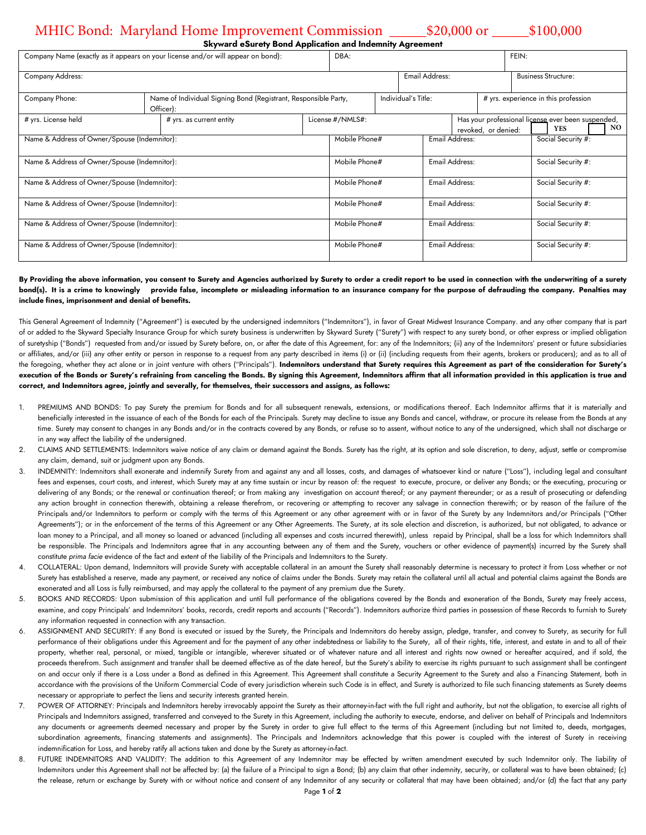## MHIC Bond: Maryland Home Improvement Commission \_\_\_\_\_\$20,000 or \_\_\_\_\_\$100,000

| Skyward eSurety Bond Application and Indemnity Agreement |
|----------------------------------------------------------|
|----------------------------------------------------------|

| . .<br>Company Name (exactly as it appears on your license and/or will appear on bond): |                          |                                                                 | . .<br>DBA:      |                |                                                                           |                       | FEIN:              |                                      |                    |  |  |     |
|-----------------------------------------------------------------------------------------|--------------------------|-----------------------------------------------------------------|------------------|----------------|---------------------------------------------------------------------------|-----------------------|--------------------|--------------------------------------|--------------------|--|--|-----|
| Company Address:                                                                        |                          |                                                                 |                  | Email Address: |                                                                           |                       |                    | <b>Business Structure:</b>           |                    |  |  |     |
| Company Phone:                                                                          | Officer):                | Name of Individual Signing Bond (Registrant, Responsible Party, |                  |                | Individual's Title:                                                       |                       |                    | # yrs. experience in this profession |                    |  |  |     |
| # yrs. License held                                                                     | # yrs. as current entity |                                                                 | License #/NMLS#: |                | Has your professional license ever been suspended,<br>revoked, or denied: |                       |                    |                                      | <b>YES</b>         |  |  | NO. |
| Name & Address of Owner/Spouse (Indemnitor):                                            |                          |                                                                 | Mobile Phone#    |                |                                                                           | <b>Email Address:</b> |                    |                                      | Social Security #: |  |  |     |
| Name & Address of Owner/Spouse (Indemnitor):                                            |                          |                                                                 | Mobile Phone#    |                |                                                                           | Email Address:        |                    |                                      | Social Security #: |  |  |     |
| Name & Address of Owner/Spouse (Indemnitor):                                            |                          |                                                                 | Mobile Phone#    |                |                                                                           | <b>Email Address:</b> |                    | Social Security #:                   |                    |  |  |     |
| Name & Address of Owner/Spouse (Indemnitor):                                            |                          |                                                                 | Mobile Phone#    |                |                                                                           | Email Address:        |                    | Social Security #:                   |                    |  |  |     |
| Name & Address of Owner/Spouse (Indemnitor):                                            |                          |                                                                 | Mobile Phone#    |                | Email Address:                                                            |                       | Social Security #: |                                      |                    |  |  |     |
| Name & Address of Owner/Spouse (Indemnitor):                                            |                          |                                                                 | Mobile Phone#    |                |                                                                           | Email Address:        |                    |                                      | Social Security #: |  |  |     |

## **By Providing the above information, you consent to Surety and Agencies authorized by Surety to order a credit report to be used in connection with the underwriting of a surety bond(s). It is a crime to knowingly provide false, incomplete or misleading information to an insurance company for the purpose of defrauding the company. Penalties may include fines, imprisonment and denial of benefits.**

This General Agreement of Indemnity ("Agreement") is executed by the undersigned indemnitors ("Indemnitors"), in favor of Great Midwest Insurance Company. and any other company that is part of or added to the Skyward Specialty Insurance Group for which surety business is underwritten by Skyward Surety ("Surety") with respect to any surety bond, or other express or implied obligation of suretyship ("Bonds") requested from and/or issued by Surety before, on, or after the date of this Agreement, for: any of the Indemnitors; (ii) any of the Indemnitors' present or future subsidiaries or affiliates, and/or (iii) any other entity or person in response to a request from any party described in items (i) or (ii) (including requests from their agents, brokers or producers); and as to all of the foregoing, whether they act alone or in joint venture with others ("Principals"). I**ndemnitors understand that Surety requires this Agreement as part of the consideration for Surety's execution of the Bonds or Surety's refraining from canceling the Bonds. By signing this Agreement, Indemnitors affirm that all information provided in this application is true and correct, and Indemnitors agree, jointly and severally, for themselves, their successors and assigns, as follows:**

- 1. PREMIUMS AND BONDS: To pay Surety the premium for Bonds and for all subsequent renewals, extensions, or modifications thereof. Each Indemnitor affirms that it is materially and beneficially interested in the issuance of each of the Bonds for each of the Principals. Surety may decline to issue any Bonds and cancel, withdraw, or procure its release from the Bonds at any time. Surety may consent to changes in any Bonds and/or in the contracts covered by any Bonds, or refuse so to assent, without notice to any of the undersigned, which shall not discharge or in any way affect the liability of the undersigned.
- 2. CLAIMS AND SETTLEMENTS: Indemnitors waive notice of any claim or demand against the Bonds. Surety has the right, at its option and sole discretion, to deny, adjust, settle or compromise any claim, demand, suit or judgment upon any Bonds.
- 3. INDEMNITY: Indemnitors shall exonerate and indemnify Surety from and against any and all losses, costs, and damages of whatsoever kind or nature ("Loss"), including legal and consultant fees and expenses, court costs, and interest, which Surety may at any time sustain or incur by reason of: the request to execute, procure, or deliver any Bonds; or the executing, procuring or delivering of any Bonds; or the renewal or continuation thereof; or from making any investigation on account thereof; or any payment thereunder; or as a result of prosecuting or defending any action brought in connection therewith, obtaining a release therefrom, or recovering or attempting to recover any salvage in connection therewith; or by reason of the failure of the Principals and/or Indemnitors to perform or comply with the terms of this Agreement or any other agreement with or in favor of the Surety by any Indemnitors and/or Principals ("Other Agreements"); or in the enforcement of the terms of this Agreement or any Other Agreements. The Surety, at its sole election and discretion, is authorized, but not obligated, to advance or loan money to a Principal, and all money so loaned or advanced (including all expenses and costs incurred therewith), unless repaid by Principal, shall be a loss for which Indemnitors shall be responsible. The Principals and Indemnitors agree that in any accounting between any of them and the Surety, vouchers or other evidence of payment(s) incurred by the Surety shall constitute *prima facie* evidence of the fact and extent of the liability of the Principals and Indemnitors to the Surety.
- 4. COLLATERAL: Upon demand, Indemnitors will provide Surety with acceptable collateral in an amount the Surety shall reasonably determine is necessary to protect it from Loss whether or not Surety has established a reserve, made any payment, or received any notice of claims under the Bonds. Surety may retain the collateral until all actual and potential claims against the Bonds are exonerated and all Loss is fully reimbursed, and may apply the collateral to the payment of any premium due the Surety.
- 5. BOOKS AND RECORDS: Upon submission of this application and until full performance of the obligations covered by the Bonds and exoneration of the Bonds, Surety may freely access, examine, and copy Principals' and Indemnitors' books, records, credit reports and accounts ("Records"). Indemnitors authorize third parties in possession of these Records to furnish to Surety any information requested in connection with any transaction.
- ASSIGNMENT AND SECURITY: If any Bond is executed or issued by the Surety, the Principals and Indemnitors do hereby assign, pledge, transfer, and convey to Surety, as security for full performance of their obligations under this Agreement and for the payment of any other indebtedness or liability to the Surety, all of their rights, title, interest, and estate in and to all of their property, whether real, personal, or mixed, tangible or intangible, wherever situated or of whatever nature and all interest and rights now owned or hereafter acquired, and if sold, the proceeds therefrom. Such assignment and transfer shall be deemed effective as of the date hereof, but the Surety's ability to exercise its rights pursuant to such assignment shall be contingent on and occur only if there is a Loss under a Bond as defined in this Agreement. This Agreement shall constitute a Security Agreement to the Surety and also a Financing Statement, both in accordance with the provisions of the Uniform Commercial Code of every jurisdiction wherein such Code is in effect, and Surety is authorized to file such financing statements as Surety deems necessary or appropriate to perfect the liens and security interests granted herein.
- POWER OF ATTORNEY: Principals and Indemnitors hereby irrevocably appoint the Surety as their attorney-in-fact with the full right and authority, but not the obligation, to exercise all rights of Principals and Indemnitors assigned, transferred and conveyed to the Surety in this Agreement, including the authority to execute, endorse, and deliver on behalf of Principals and Indemnitors any documents or agreements deemed necessary and proper by the Surety in order to give full effect to the terms of this Agreement (including but not limited to, deeds, mortgages, subordination agreements, financing statements and assignments). The Principals and Indemnitors acknowledge that this power is coupled with the interest of Surety in receiving indemnification for Loss, and hereby ratify all actions taken and done by the Surety as attorney-in-fact.
- 8. FUTURE INDEMNITORS AND VALIDITY: The addition to this Agreement of any Indemnitor may be effected by written amendment executed by such Indemnitor only. The liability of Indemnitors under this Agreement shall not be affected by: (a) the failure of a Principal to sign a Bond; (b) any claim that other indemnity, security, or collateral was to have been obtained; (c) the release, return or exchange by Surety with or without notice and consent of any Indemnitor of any security or collateral that may have been obtained; and/or (d) the fact that any party